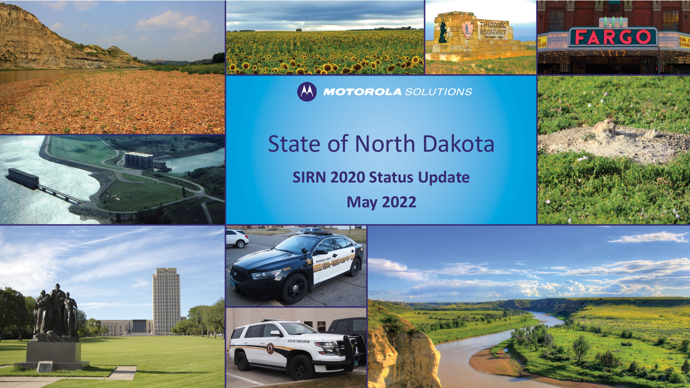



(A) MOTOROLA SOLUTIONS

# State of North Dakota

**SIRN 2020 Status Update**

**May 2022**



FARGO

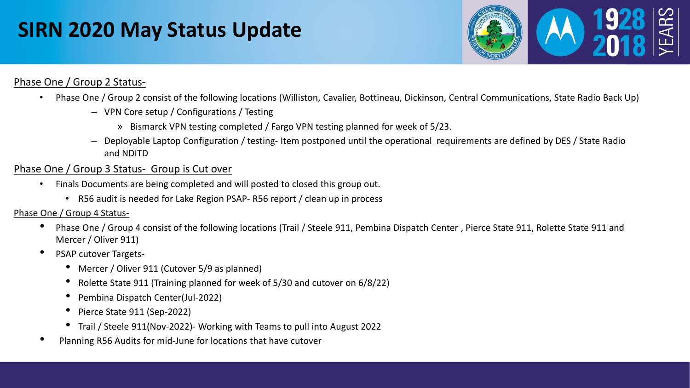## **SIRN 2020 May Status Update**



### Phase One / Group 2 Status-

- Phase One / Group 2 consist of the following locations (Williston, Cavalier, Bottineau, Dickinson, Central Communications, State Radio Back Up)
	- VPN Core setup / Configurations / Testing
		- » Bismarck VPN testing completed / Fargo VPN testing planned for week of 5/23.
	- Deployable Laptop Configuration / testing- Item postponed until the operational requirements are defined by DES / State Radio and NDITD

## Phase One / Group 3 Status- Group is Cut over

- Finals Documents are being completed and will posted to closed this group out.
	- R56 audit is needed for Lake Region PSAP- R56 report / clean up in process

### Phase One / Group 4 Status-

- Phase One / Group 4 consist of the following locations (Trail / Steele 911, Pembina Dispatch Center , Pierce State 911, Rolette State 911 and Mercer / Oliver 911)
- PSAP cutover Targets-
	- Mercer / Oliver 911 (Cutover 5/9 as planned)
	- Rolette State 911 (Training planned for week of 5/30 and cutover on 6/8/22)
	- Pembina Dispatch Center(Jul-2022)
	- Pierce State 911 (Sep-2022)
	- Trail / Steele 911(Nov-2022)- Working with Teams to pull into August 2022
- Planning R56 Audits for mid-June for locations that have cutover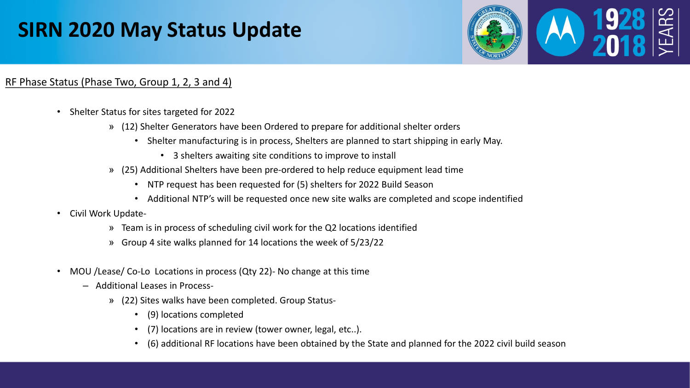## **SIRN 2020 May Status Update**



### RF Phase Status (Phase Two, Group 1, 2, 3 and 4)

- Shelter Status for sites targeted for 2022
	- » (12) Shelter Generators have been Ordered to prepare for additional shelter orders
		- Shelter manufacturing is in process, Shelters are planned to start shipping in early May.
			- 3 shelters awaiting site conditions to improve to install
	- » (25) Additional Shelters have been pre-ordered to help reduce equipment lead time
		- NTP request has been requested for (5) shelters for 2022 Build Season
		- Additional NTP's will be requested once new site walks are completed and scope indentified
- Civil Work Update-
	- » Team is in process of scheduling civil work for the Q2 locations identified
	- » Group 4 site walks planned for 14 locations the week of 5/23/22
- MOU /Lease/ Co-Lo Locations in process (Qty 22)- No change at this time
	- Additional Leases in Process-
		- » (22) Sites walks have been completed. Group Status-
			- (9) locations completed
			- (7) locations are in review (tower owner, legal, etc..).
			- (6) additional RF locations have been obtained by the State and planned for the 2022 civil build season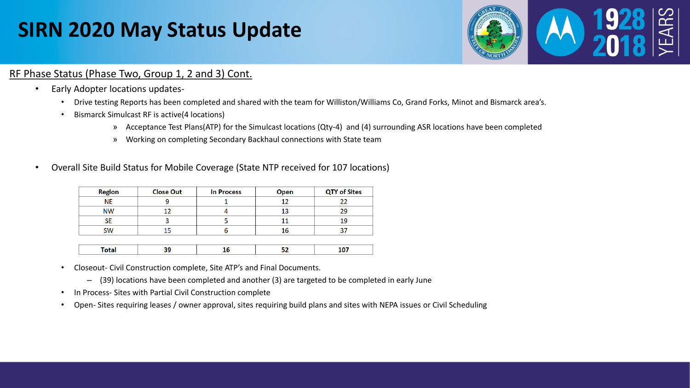## **SIRN 2020 May Status Update**



### RF Phase Status (Phase Two, Group 1, 2 and 3) Cont.

- Early Adopter locations updates-
	- Drive testing Reports has been completed and shared with the team for Williston/Williams Co, Grand Forks, Minot and Bismarck area's.
	- Bismarck Simulcast RF is active(4 locations)
		- » Acceptance Test Plans(ATP) for the Simulcast locations (Qty-4) and (4) surrounding ASR locations have been completed
		- » Working on completing Secondary Backhaul connections with State team
- Overall Site Build Status for Mobile Coverage (State NTP received for 107 locations)

| <b>Region</b> | <b>Close Out</b> | <b>In Process</b> | Open | <b>QTY of Sites</b> |
|---------------|------------------|-------------------|------|---------------------|
| ΝE            |                  |                   |      |                     |
| <b>NW</b>     |                  |                   |      |                     |
|               |                  |                   |      | 10                  |
| <b>SW</b>     |                  |                   |      |                     |

- Closeout- Civil Construction complete, Site ATP's and Final Documents.
	- (39) locations have been completed and another (3) are targeted to be completed in early June
- In Process- Sites with Partial Civil Construction complete
- Open- Sites requiring leases / owner approval, sites requiring build plans and sites with NEPA issues or Civil Scheduling